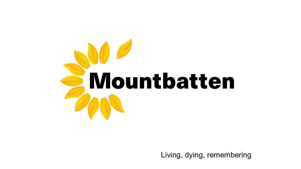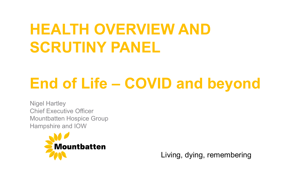# **HEALTH OVERVIEW AND SCRUTINY PANEL**

# **End of Life – COVID and beyond**

Nigel Hartley Chief Executive Officer Mountbatten Hospice Group Hampshire and IOW

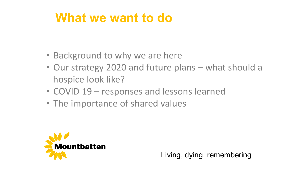### **What we want to do**

- Background to why we are here
- Our strategy 2020 and future plans what should a hospice look like?
- COVID 19 responses and lessons learned
- The importance of shared values

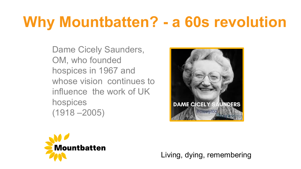## **Why Mountbatten? - a 60s revolution**

Dame Cicely Saunders, OM, who founded hospices in 1967 and whose vision continues to influence the work of UK hospices (1918 –2005)



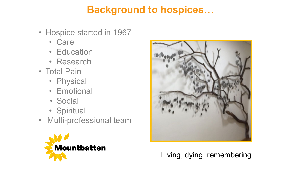#### **Background to hospices…**

- Hospice started in 1967
	- Care
	- Education
	- Research
- Total Pain
	- Physical
	- Emotional
	- Social
	- Spiritual
- Multi-professional team



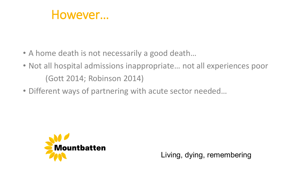

- A home death is not necessarily a good death...
- Not all hospital admissions inappropriate... not all experiences poor (Gott 2014; Robinson 2014)
- Different ways of partnering with acute sector needed…

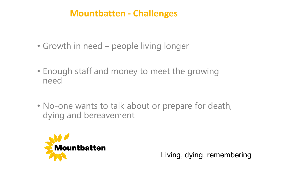#### **Mountbatten - Challenges**

- Growth in need people living longer
- Enough staff and money to meet the growing need
- No-one wants to talk about or prepare for death, dying and bereavement

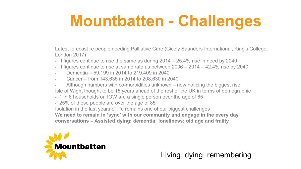# **Mountbatten - Challenges**

Latest forecast re people needing Palliative Care (Cicely Saunders International, King's College, London 2017)

- If figures continue to rise the same as during 2014 25.4% rise in need by 2040
- If figures continue to rise at same rate as between 2006 2014 42.4% rise by 2040
- Dementia 59,199 in 2014 to 219,409 in 2040
- Cancer from 143,635 in 2014 to 208,630 in 2040
- Although numbers with co-morbidities unknown now noticing the biggest rise Isle of Wight thought to be 15 years ahead of the rest of the UK in terms of demographic
- 1 in 6 households on IOW are a single person over the age of 65
- 25% of these people are over the age of 85

Isolation in the last years of life remains one of our biggest challenges **We need to remain in 'sync' with our community and engage in the every day conversations – Assisted dying; dementia; loneliness; old age and frailty**

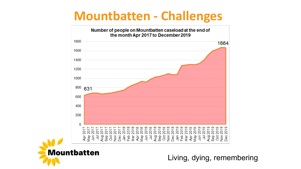### **Mountbatten - Challenges**



**Mountbatten**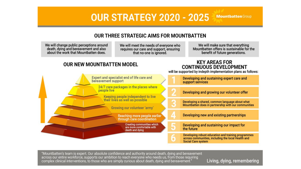#### **OUR STRATEGY 2020 - 2025 Mountbatten Group**

#### **OUR THREE STRATEGIC AIMS FOR MOUNTBATTEN**

We will change public perceptions around death, dying and bereavement and also<br>about the work that Mountbatten does.

We will meet the needs of everyone who requires our care and support, ensuring that no-one is ignored.

We will make sure that everything Mountbatten offers is sustainable for the benefit of future generations.

**KEY AREAS FOR** 

#### **OUR NEW MOUNTBATTEN MODEL**



"Mountbatten's team is expert. Our absolute confidence and authority around death, dying and bereavement across our entire workforce, supports our ambition to reach everyone who needs us, from those requiring complex clinical interventions, to those who are simply curious about death, dying and bereavement."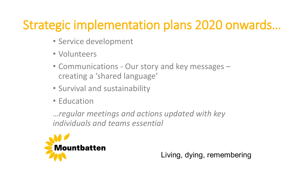## Strategic implementation plans 2020 onwards…

- Service development
- Volunteers
- Communications Our story and key messages creating a 'shared language'
- Survival and sustainability
- Education

…*regular meetings and actions updated with key individuals and teams essential*

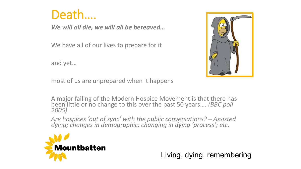

*We will all die, we will all be bereaved…*

We have all of our lives to prepare for it

and yet…



most of us are unprepared when it happens

A major failing of the Modern Hospice Movement is that there has been little or no change to this over the past 50 years.... *(BBC poll 2005)* 

*Are hospices 'out of sync' with the public conversations? – Assisted dying; changes in demographic; changing in dying 'process'; etc.*

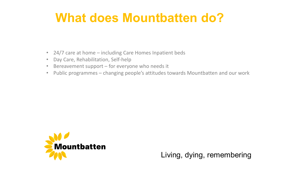### **What does Mountbatten do?**

- 24/7 care at home including Care Homes Inpatient beds
- Day Care, Rehabilitation, Self-help
- Bereavement support for everyone who needs it
- Public programmes changing people's attitudes towards Mountbatten and our work

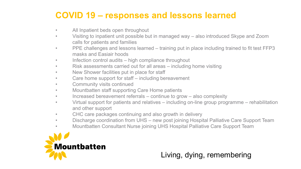#### **COVID 19 – responses and lessons learned**

- All Inpatient beds open throughout
- Visiting to inpatient unit possible but in managed way also introduced Skype and Zoom calls for patients and families
- PPE challenges and lessons learned training put in place including trained to fit test FFP3 masks and Easiair hoods
- Infection control audits high compliance throughout
- Risk assessments carried out for all areas including home visiting
- New Shower facilities put in place for staff
- Care home support for staff including bereavement
- Community visits continued
- Mountbatten staff supporting Care Home patients
- Increased bereavement referrals continue to grow also complexity
- Virtual support for patients and relatives including on-line group programme rehabilitation and other support
- CHC care packages continuing and also growth in delivery
- Discharge coordination from UHS new post joining Hospital Palliative Care Support Team
- Mountbatten Consultant Nurse joining UHS Hospital Palliative Care Support Team

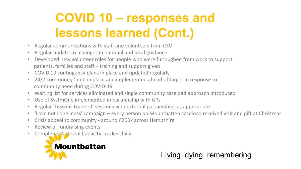## **COVID 10 – responses and lessons learned (Cont.)**

- Regular communications with staff and volunteers from CEO
- Regular updates re changes in national and local guidance
- Developed new volunteer roles for people who were furloughed from work to support patients, families and staff – training and support given
- COVID 19 contingency plans in place and updated regularly
- 24/7 community 'hub' in place and implemented ahead of target in response to community need during COVID-19
- Waiting list for services eliminated and single community caseload approach introduced
- Use of SystmOne implemented in partnership with GPs
- Regular 'Lessons Learned' sessions with external partnerships as appropriate
- 'Love not Loneliness' campaign every person on Mountbatten caseload received visit and gift at Christmas
- Crisis appeal to community around £200k across Hampshire
- Review of fundraising events
- Completed National Capacity Tracker daily

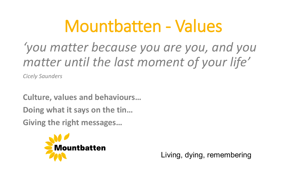# Mountbatten - Values

## *'you matter because you are you, and you matter until the last moment of your life'*

*Cicely Saunders*

**Culture, values and behaviours… Doing what it says on the tin…**

**Giving the right messages…**

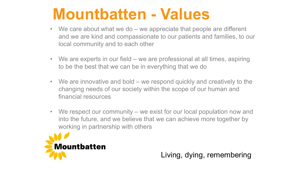## **Mountbatten - Values**

- We care about what we do we appreciate that people are different and we are kind and compassionate to our patients and families, to our local community and to each other
- We are experts in our field we are professional at all times, aspiring to be the best that we can be in everything that we do
- We are innovative and bold we respond quickly and creatively to the changing needs of our society within the scope of our human and financial resources
- We respect our community we exist for our local population now and into the future, and we believe that we can achieve more together by working in partnership with others